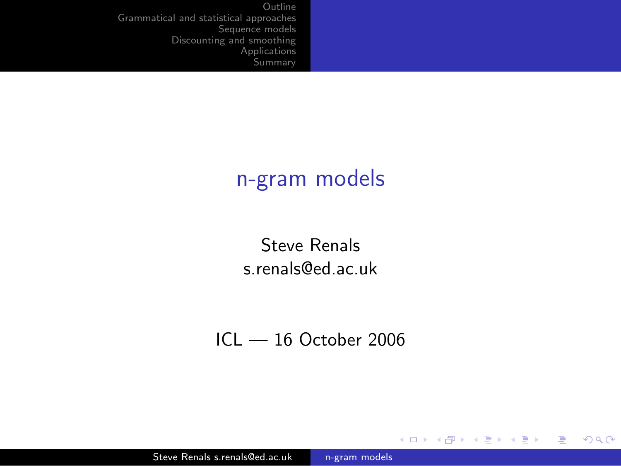### n-gram models

Steve Renals s.renals@ed.ac.uk

 $ICI - 16$  October 2006

 $299$ 

<span id="page-0-0"></span>目

メロト メ団 トメ ミト メミト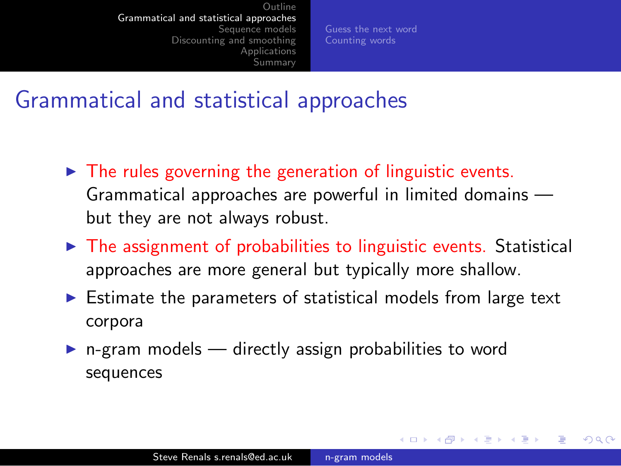[Guess the next word](#page-3-0) [Counting words](#page-21-0)

<span id="page-1-0"></span> $200$ 

#### Grammatical and statistical approaches

- $\triangleright$  The rules governing the generation of linguistic events. Grammatical approaches are powerful in limited domains but they are not always robust.
- $\triangleright$  The assignment of probabilities to linguistic events. Statistical approaches are more general but typically more shallow.
- $\triangleright$  Estimate the parameters of statistical models from large text corpora
- $\triangleright$  n-gram models directly assign probabilities to word sequences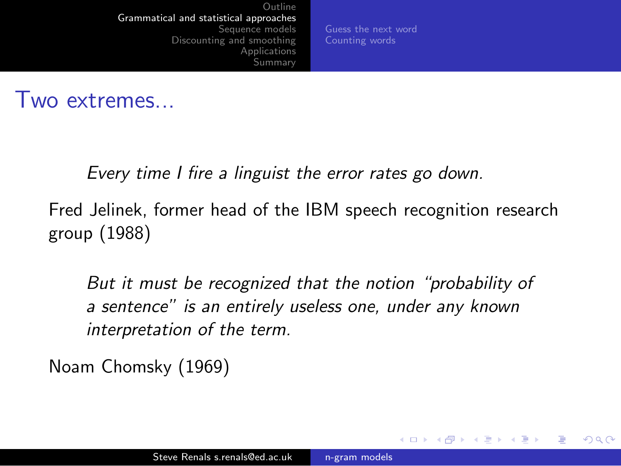[Guess the next word](#page-3-0) [Counting words](#page-21-0)

つくい

#### Two extremes...

Every time I fire a linguist the error rates go down.

Fred Jelinek, former head of the IBM speech recognition research group (1988)

But it must be recognized that the notion "probability of a sentence" is an entirely useless one, under any known interpretation of the term.

Noam Chomsky (1969)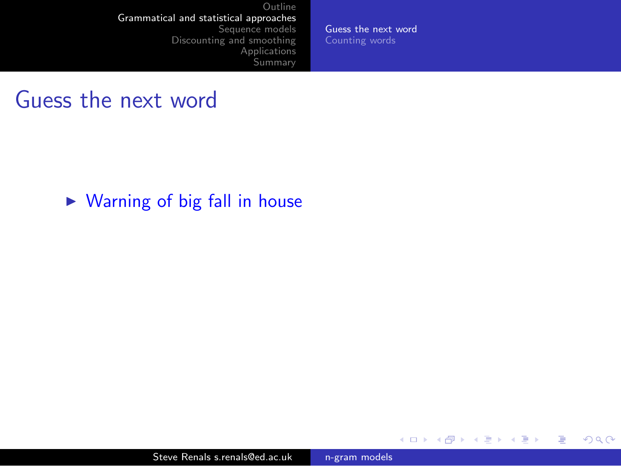[Guess the next word](#page-9-0) [Counting words](#page-21-0)

E

メロト メ団 トメ ミト メミト

<span id="page-3-0"></span> $299$ 

#### Guess the next word

 $\triangleright$  Warning of big fall in house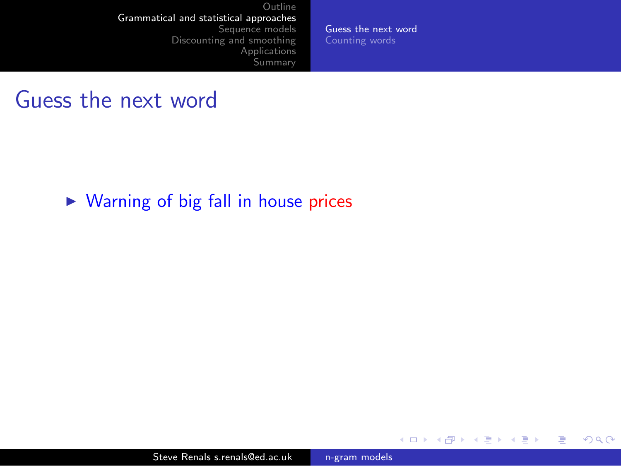[Guess the next word](#page-9-0) [Counting words](#page-21-0)

 $299$ 

重

メロト メ団 トメ ミト メミト

#### Guess the next word

 $\triangleright$  Warning of big fall in house prices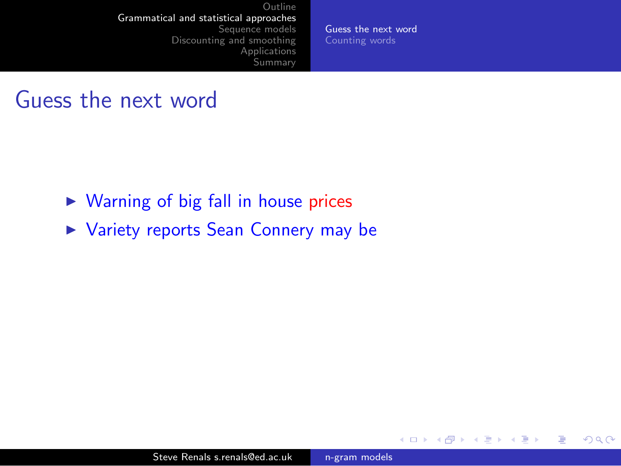[Guess the next word](#page-9-0) [Counting words](#page-21-0)

4 0 8

→ 母→

э

 $\mathcal{A}$  $\sim$  э **B** э  $2990$ 

- $\triangleright$  Warning of big fall in house prices
- ▶ Variety reports Sean Connery may be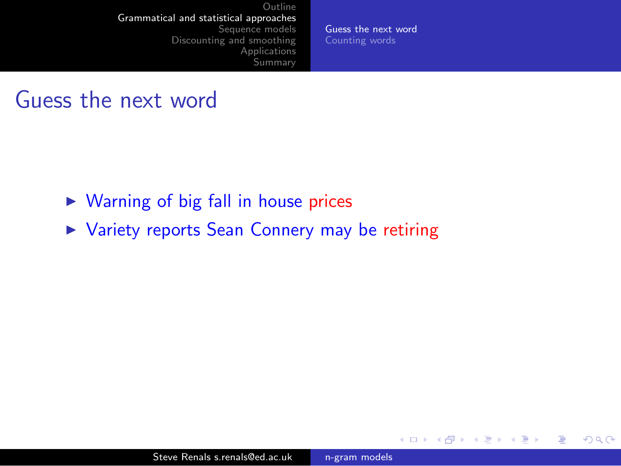[Guess the next word](#page-9-0) [Counting words](#page-21-0)

4 0 8

→ 母→

э

 $\sim$ 

э

Пb.

 $2990$ 

э

- $\triangleright$  Warning of big fall in house prices
- ▶ Variety reports Sean Connery may be retiring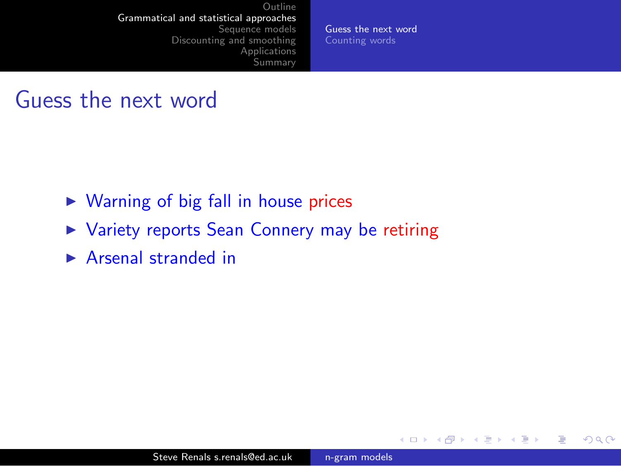[Guess the next word](#page-9-0) [Counting words](#page-21-0)

4 0 8

→ 母→

э

 $\sim$ 

э

Пb.

 $2990$ 

э

- $\triangleright$  Warning of big fall in house prices
- ▶ Variety reports Sean Connery may be retiring
- $\triangleright$  Arsenal stranded in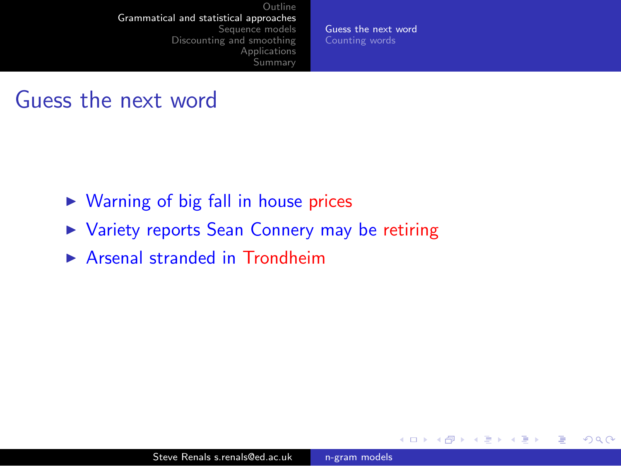[Guess the next word](#page-9-0) [Counting words](#page-21-0)

4 0 8

4 冊 ▶

э

э

Пb.

э

 $200$ 

- $\triangleright$  Warning of big fall in house prices
- ▶ Variety reports Sean Connery may be retiring
- $\triangleright$  Arsenal stranded in Trondheim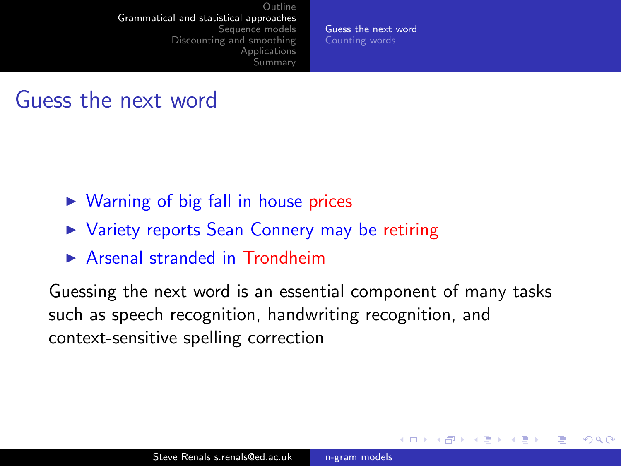[Guess the next word](#page-3-0) [Counting words](#page-21-0)

<span id="page-9-0"></span> $200$ 

#### Guess the next word

- $\triangleright$  Warning of big fall in house prices
- ▶ Variety reports Sean Connery may be retiring
- $\triangleright$  Arsenal stranded in Trondheim

Guessing the next word is an essential component of many tasks such as speech recognition, handwriting recognition, and context-sensitive spelling correction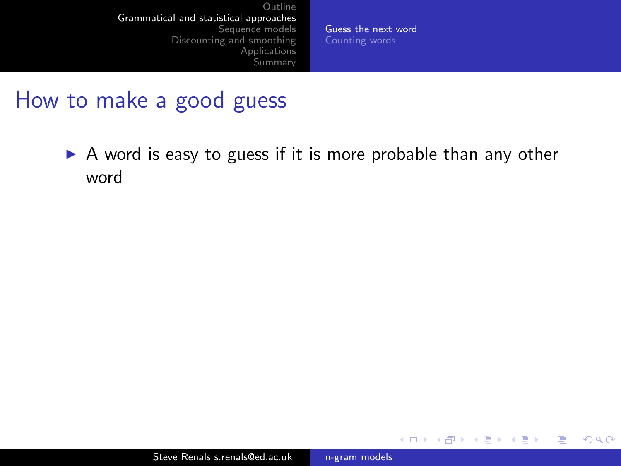[Guess the next word](#page-3-0) [Counting words](#page-21-0)

4 0 8

→ 母→

э

э  $\sim$ э  $2990$ 

#### How to make a good guess

 $\triangleright$  A word is easy to guess if it is more probable than any other word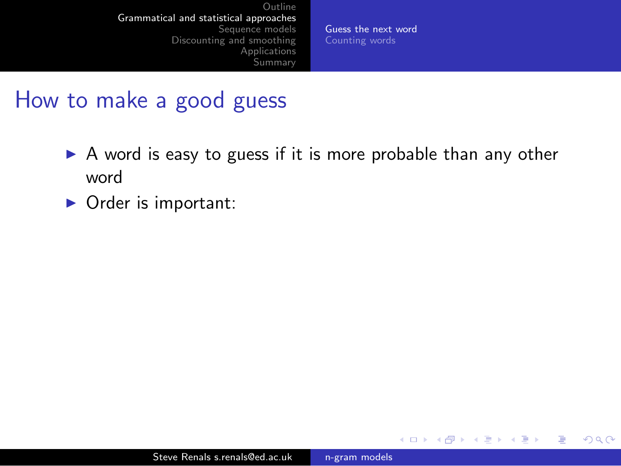[Guess the next word](#page-3-0) [Counting words](#page-21-0)

4 0 8

→ 母→

 $2990$ 

э

э

- $\triangleright$  A word is easy to guess if it is more probable than any other word
- $\triangleright$  Order is important: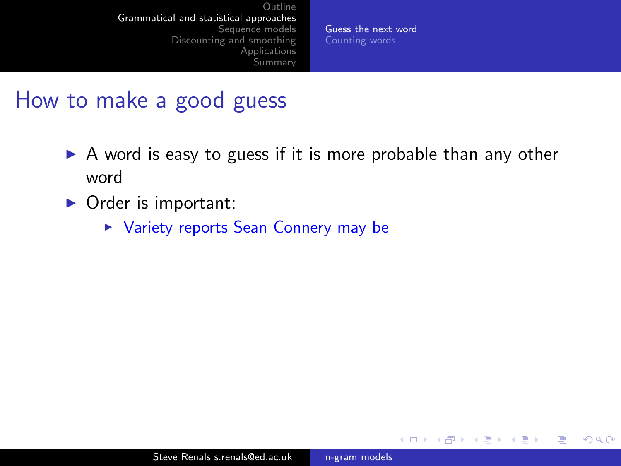[Guess the next word](#page-3-0) [Counting words](#page-21-0)

a mills

 $\Omega$ 

- $\triangleright$  A word is easy to guess if it is more probable than any other word
- $\triangleright$  Order is important:
	- ▶ Variety reports Sean Connery may be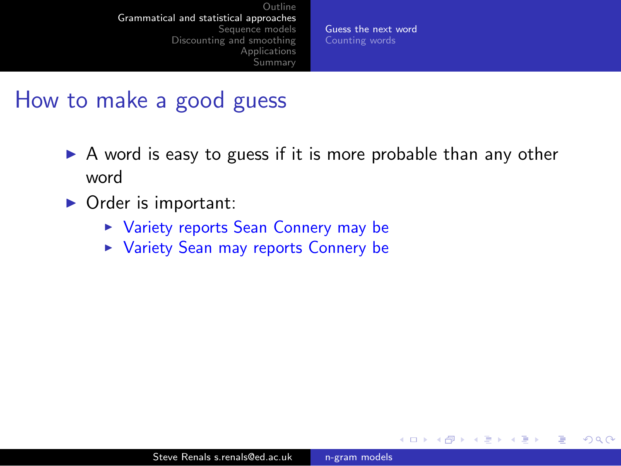[Guess the next word](#page-3-0) [Counting words](#page-21-0)

 $\sim$   $\sim$ 

 $\Omega$ 

- $\triangleright$  A word is easy to guess if it is more probable than any other word
- $\triangleright$  Order is important:
	- ▶ Variety reports Sean Connery may be
	- ▶ Variety Sean may reports Connery be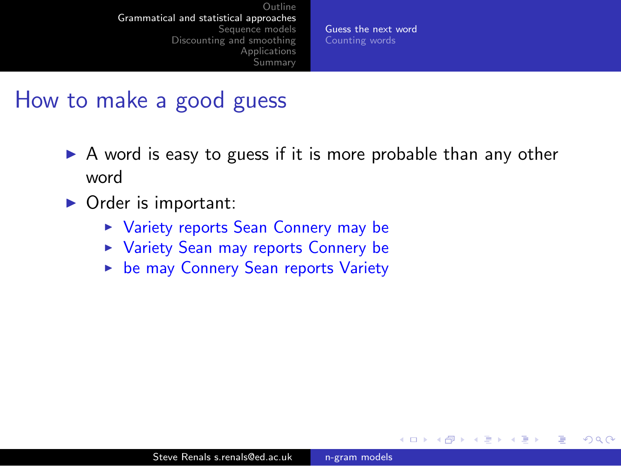[Guess the next word](#page-3-0) [Counting words](#page-21-0)

 $200$ 

- $\triangleright$  A word is easy to guess if it is more probable than any other word
- $\triangleright$  Order is important:
	- ▶ Variety reports Sean Connery may be
	- ▶ Variety Sean may reports Connery be
	- **Example 12 be may Connery Sean reports Variety**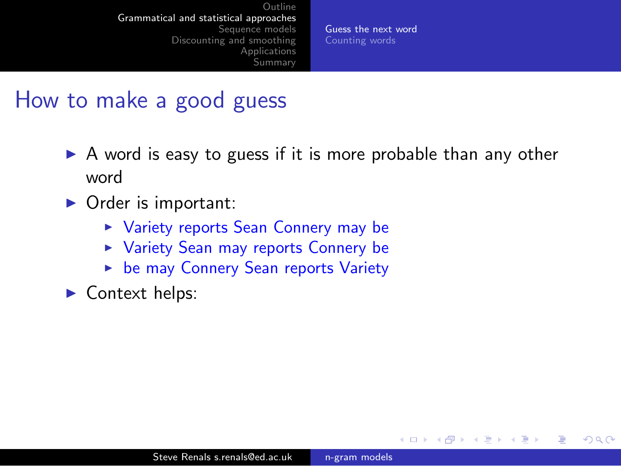[Guess the next word](#page-3-0) [Counting words](#page-21-0)

 $200$ 

- $\triangleright$  A word is easy to guess if it is more probable than any other word
- $\triangleright$  Order is important:
	- ▶ Variety reports Sean Connery may be
	- ▶ Variety Sean may reports Connery be
	- **Example 12 be may Connery Sean reports Variety**
- $\blacktriangleright$  Context helps: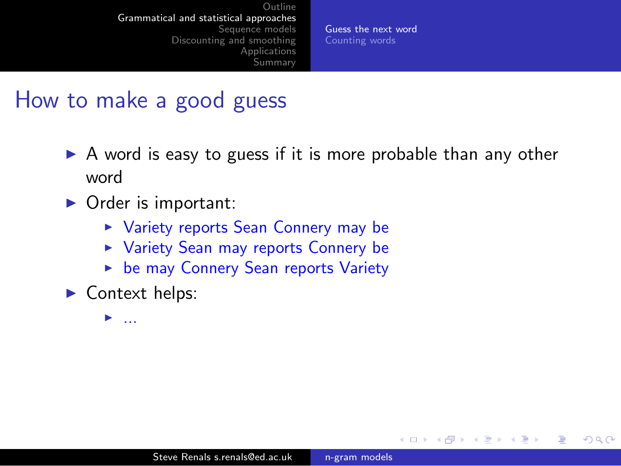[Guess the next word](#page-3-0) [Counting words](#page-21-0)

 $200$ 

### How to make a good guess

- $\triangleright$  A word is easy to guess if it is more probable than any other word
- $\triangleright$  Order is important:
	- ▶ Variety reports Sean Connery may be
	- ▶ Variety Sean may reports Connery be
	- **Example 12 be may Connery Sean reports Variety**
- $\blacktriangleright$  Context helps:

<sup>I</sup> ...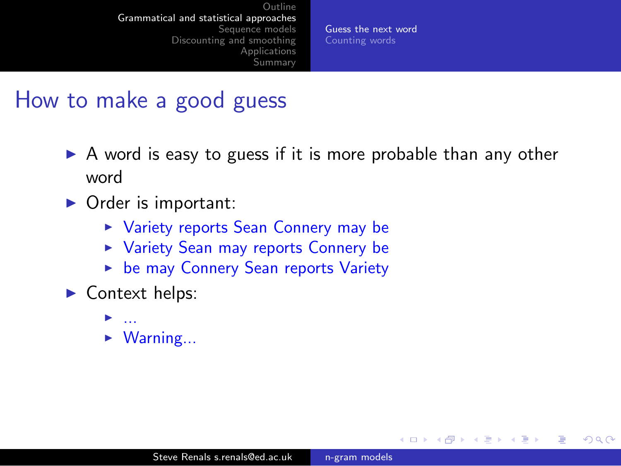[Guess the next word](#page-3-0) [Counting words](#page-21-0)

 $200$ 

- $\triangleright$  A word is easy to guess if it is more probable than any other word
- $\triangleright$  Order is important:
	- ▶ Variety reports Sean Connery may be
	- ▶ Variety Sean may reports Connery be
	- **Example 12 be may Connery Sean reports Variety**
- $\blacktriangleright$  Context helps:
	- <sup>I</sup> ...
	- $\triangleright$  Warning...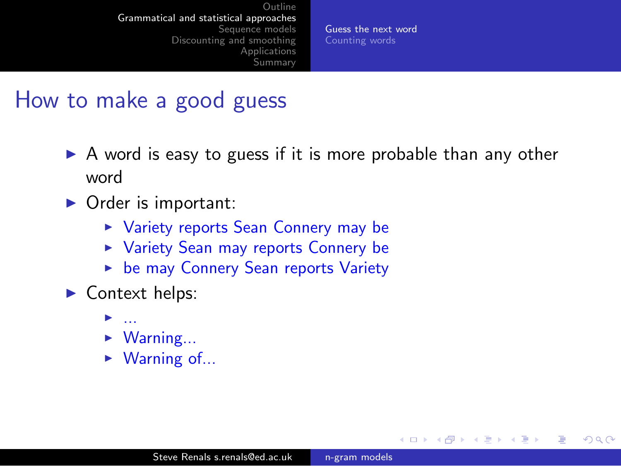[Guess the next word](#page-3-0) [Counting words](#page-21-0)

 $200$ 

- $\triangleright$  A word is easy to guess if it is more probable than any other word
- $\triangleright$  Order is important:
	- ▶ Variety reports Sean Connery may be
	- ▶ Variety Sean may reports Connery be
	- ► be may Connery Sean reports Variety
- $\blacktriangleright$  Context helps:
	- $\blacktriangleright$  ...
	- $\blacktriangleright$  Warning...
	- $\triangleright$  Warning of...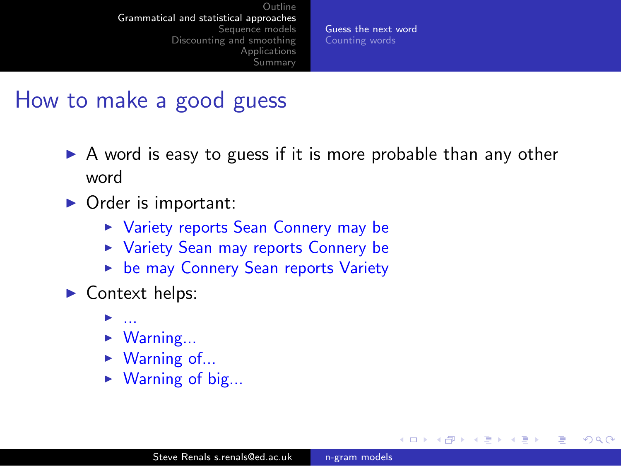[Guess the next word](#page-3-0) [Counting words](#page-21-0)

 $200$ 

- $\triangleright$  A word is easy to guess if it is more probable than any other word
- $\triangleright$  Order is important:
	- ▶ Variety reports Sean Connery may be
	- ▶ Variety Sean may reports Connery be
	- ► be may Connery Sean reports Variety
- $\blacktriangleright$  Context helps:
	- $\blacktriangleright$  ...
	- $\triangleright$  Warning...
	- $\triangleright$  Warning of...
	- $\triangleright$  Warning of big...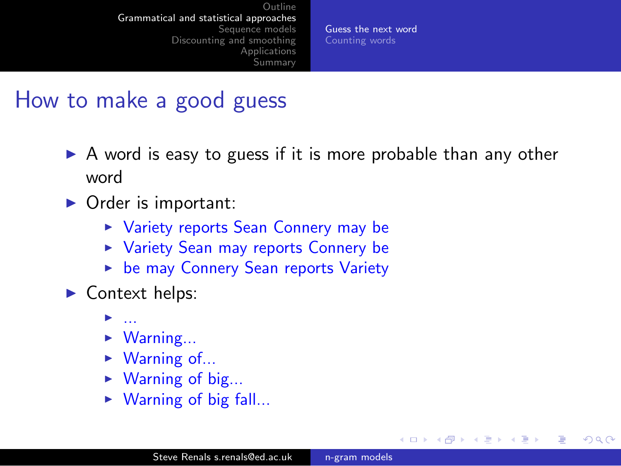[Guess the next word](#page-3-0) [Counting words](#page-21-0)

 $200$ 

- $\triangleright$  A word is easy to guess if it is more probable than any other word
- $\triangleright$  Order is important:
	- ▶ Variety reports Sean Connery may be
	- ▶ Variety Sean may reports Connery be
	- ► be may Connery Sean reports Variety
- $\blacktriangleright$  Context helps:
	- $\blacktriangleright$  ...
	- $\triangleright$  Warning...
	- $\triangleright$  Warning of...
	- $\triangleright$  Warning of big...
	- $\triangleright$  Warning of big fall...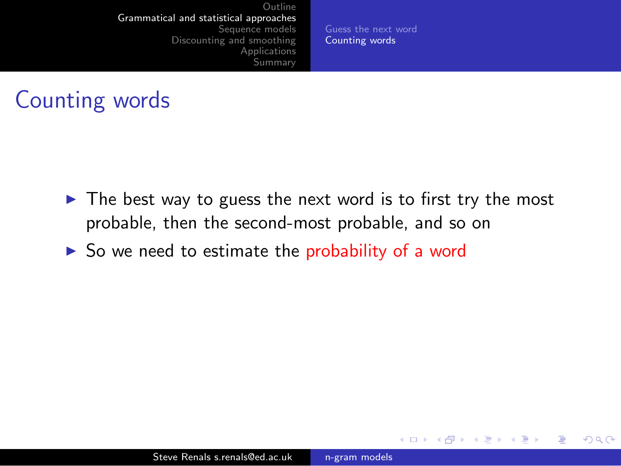[Guess the next word](#page-3-0) [Counting words](#page-22-0)

4 0 8

→ 伊 ▶

э

 $\sim$ 

э

э

<span id="page-21-0"></span> $200$ 

## Counting words

- $\triangleright$  The best way to guess the next word is to first try the most probable, then the second-most probable, and so on
- $\triangleright$  So we need to estimate the probability of a word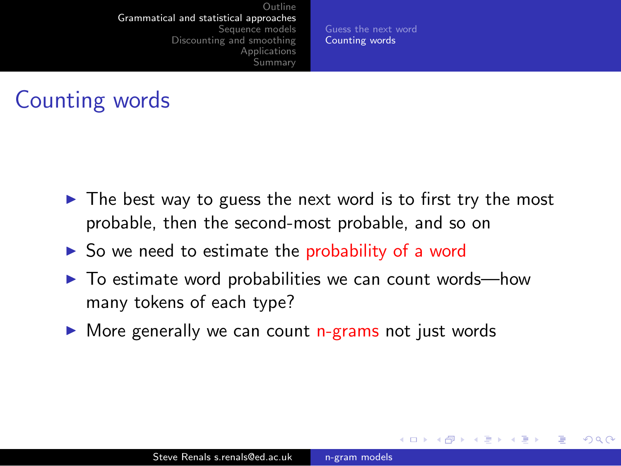[Guess the next word](#page-3-0) [Counting words](#page-21-0)

<span id="page-22-0"></span> $\Omega$ 

## Counting words

- $\triangleright$  The best way to guess the next word is to first try the most probable, then the second-most probable, and so on
- $\triangleright$  So we need to estimate the probability of a word
- $\triangleright$  To estimate word probabilities we can count words—how many tokens of each type?
- $\triangleright$  More generally we can count n-grams not just words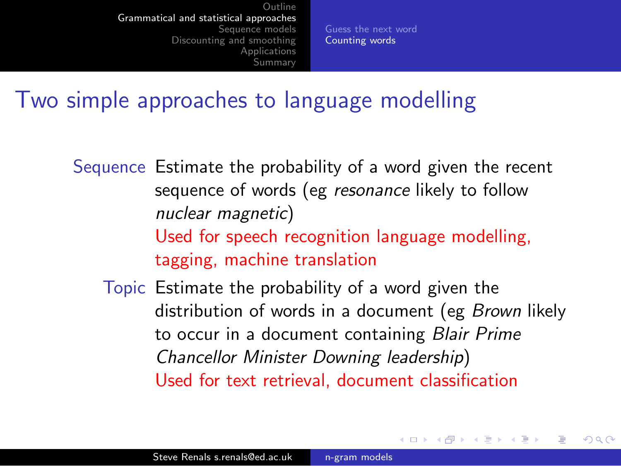[Guess the next word](#page-3-0) [Counting words](#page-21-0)

#### Two simple approaches to language modelling

Sequence Estimate the probability of a word given the recent sequence of words (eg resonance likely to follow nuclear magnetic) Used for speech recognition language modelling, tagging, machine translation

Topic Estimate the probability of a word given the distribution of words in a document (eg Brown likely to occur in a document containing Blair Prime Chancellor Minister Downing leadership) Used for text retrieval, document classification

つくい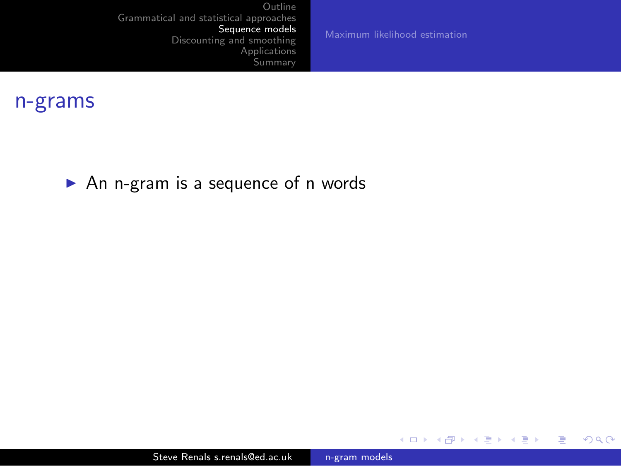[Maximum likelihood estimation](#page-40-0)

イロト イ部 トイ君 トイ君 ト

目

<span id="page-24-0"></span> $299$ 

#### n-grams

 $\triangleright$  An n-gram is a sequence of n words

Steve Renals s.renals@ed.ac.uk [n-gram models](#page-0-0)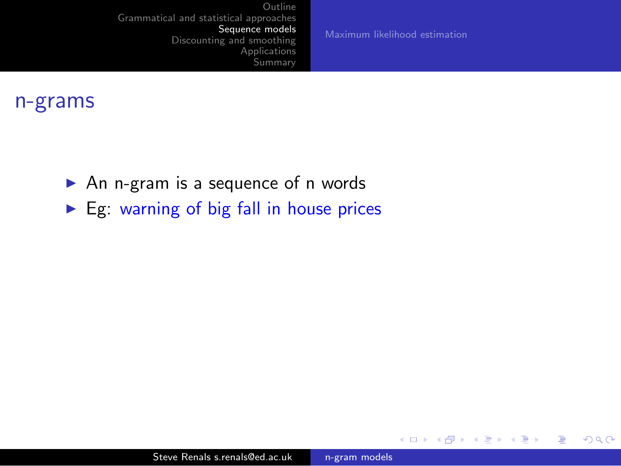[Maximum likelihood estimation](#page-40-0)

4 0 8

→ 伊 ▶

э

 $\sim$  4.  $\sim$  $\rightarrow$ 

重  $\,$ э  $299$ 

- $\triangleright$  An n-gram is a sequence of n words
- $\blacktriangleright$  Eg: warning of big fall in house prices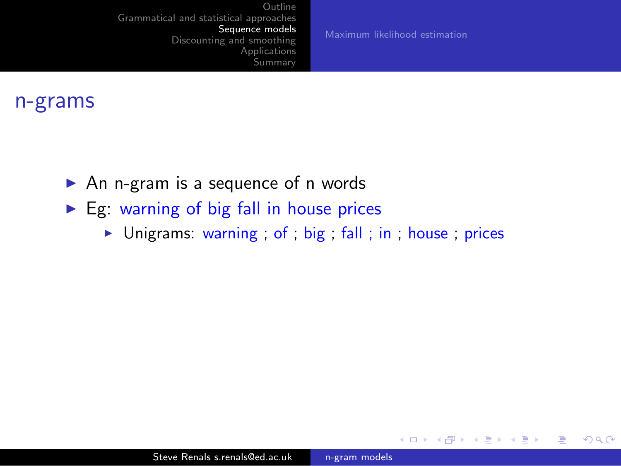[Maximum likelihood estimation](#page-40-0)

4 0 8 4 伊

**SIL** 

э

Пb.

∍

 $\Omega$ 

- $\triangleright$  An n-gram is a sequence of n words
- $\triangleright$  Eg: warning of big fall in house prices
	- $\triangleright$  Unigrams: warning ; of ; big ; fall ; in ; house ; prices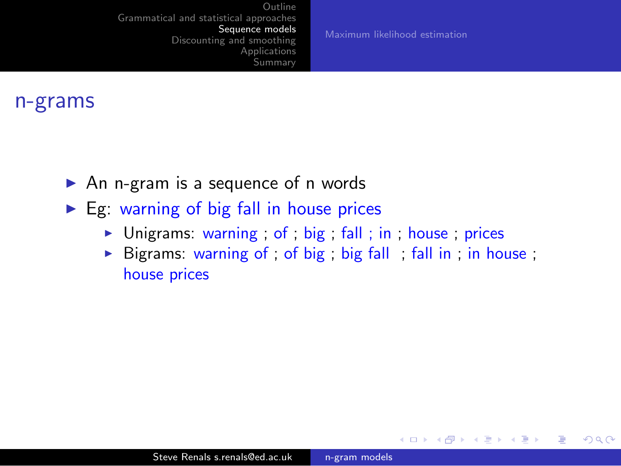[Maximum likelihood estimation](#page-40-0)

 $\leftarrow$ 

**SIL** 

 $\Omega$ 

- $\triangleright$  An n-gram is a sequence of n words
- $\triangleright$  Eg: warning of big fall in house prices
	- $\triangleright$  Unigrams: warning ; of ; big ; fall ; in ; house ; prices
	- $\triangleright$  Bigrams: warning of ; of big ; big fall ; fall in ; in house ; house prices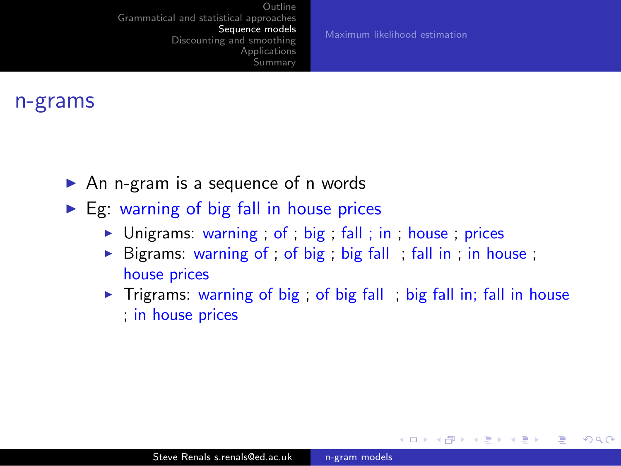[Maximum likelihood estimation](#page-40-0)

→ 冊→

 $200$ 

- $\triangleright$  An n-gram is a sequence of n words
- $\triangleright$  Eg: warning of big fall in house prices
	- $\triangleright$  Unigrams: warning; of; big; fall; in; house; prices
	- $\triangleright$  Bigrams: warning of ; of big ; big fall ; fall in ; in house ; house prices
	- $\triangleright$  Trigrams: warning of big; of big fall; big fall in; fall in house ; in house prices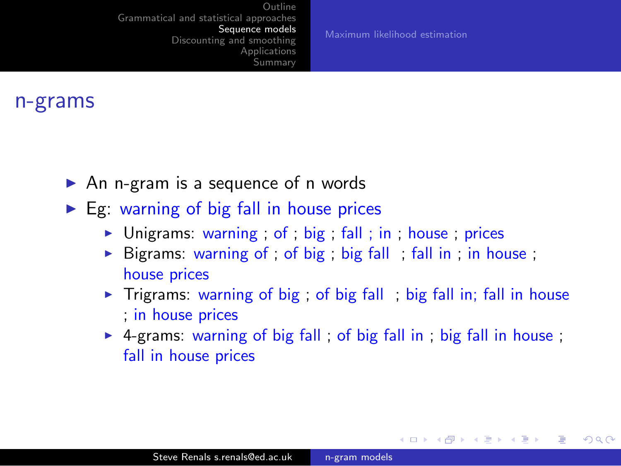[Maximum likelihood estimation](#page-40-0)

#### n-grams

- $\triangleright$  An n-gram is a sequence of n words
- $\triangleright$  Eg: warning of big fall in house prices
	- $\triangleright$  Unigrams: warning; of; big; fall; in; house; prices
	- $\triangleright$  Bigrams: warning of ; of big ; big fall ; fall in ; in house ; house prices
	- $\triangleright$  Trigrams: warning of big; of big fall; big fall in; fall in house ; in house prices
	- $\triangleright$  4-grams: warning of big fall ; of big fall in ; big fall in house ; fall in house prices

→ 伊 ▶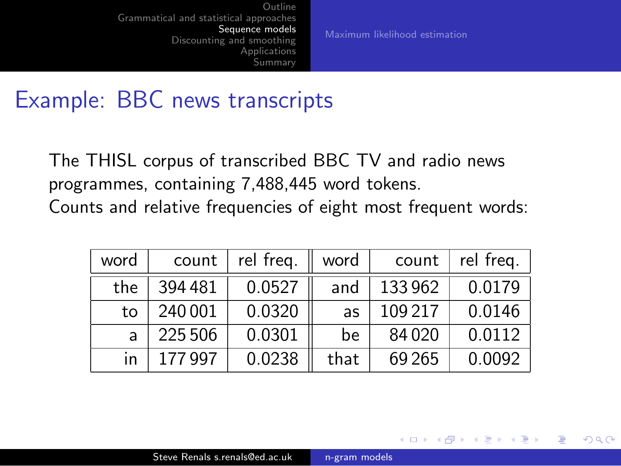[Maximum likelihood estimation](#page-40-0)

 $\Omega$ 

#### Example: BBC news transcripts

The THISL corpus of transcribed BBC TV and radio news programmes, containing 7,488,445 word tokens. Counts and relative frequencies of eight most frequent words:

| word | count   | rel freq. | word | count   | rel freq. |
|------|---------|-----------|------|---------|-----------|
| the  | 394481  | 0.0527    | and  | 133962  | 0.0179    |
| to   | 240 001 | 0.0320    | as   | 109 217 | 0.0146    |
|      | 225 506 | 0.0301    | be   | 84020   | 0.0112    |
| in   | 177 997 | 0.0238    | that | 69 265  | 0.0092    |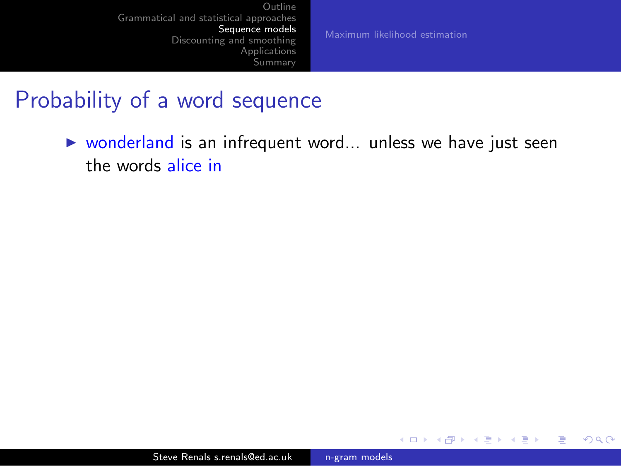[Maximum likelihood estimation](#page-40-0)

4 0 8

◀ 冊  $\sim$   $2990$ 

∍

э

#### Probability of a word sequence

 $\triangleright$  wonderland is an infrequent word... unless we have just seen the words alice in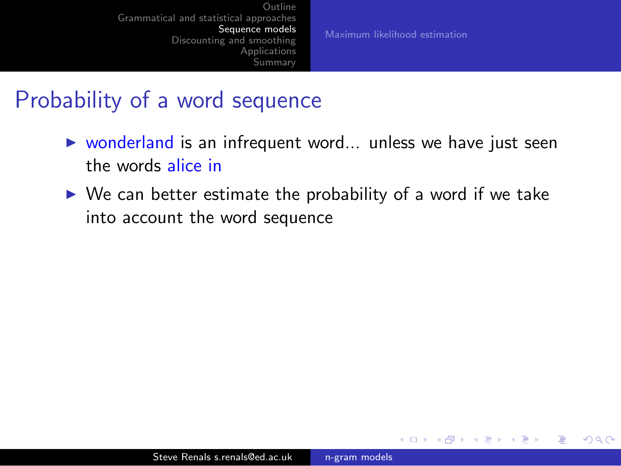[Maximum likelihood estimation](#page-40-0)

 $\Omega$ 

### Probability of a word sequence

- $\triangleright$  wonderland is an infrequent word... unless we have just seen the words alice in
- $\triangleright$  We can better estimate the probability of a word if we take into account the word sequence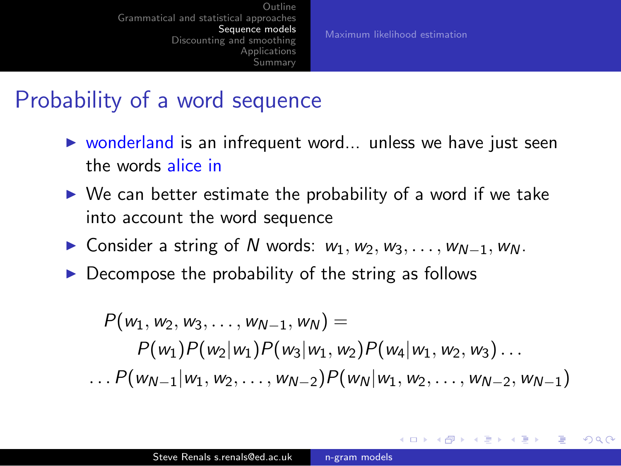[Maximum likelihood estimation](#page-40-0)

イロト イ母 トイヨ トイヨ トー

<span id="page-33-0"></span> $200$ 

### Probability of a word sequence

- $\triangleright$  wonderland is an infrequent word... unless we have just seen the words alice in
- $\triangleright$  We can better estimate the probability of a word if we take into account the word sequence
- $\triangleright$  Consider a string of N words:  $w_1, w_2, w_3, \ldots, w_{N-1}, w_N$ .
- $\triangleright$  Decompose the probability of the string as follows

 $P(w_1, w_2, w_3, \ldots, w_{N-1}, w_N) =$  $P(w_1)P(w_2|w_1)P(w_3|w_1,w_2)P(w_4|w_1,w_2,w_3)...$ . . .  $P(w_{N-1}|w_1,w_2,\ldots,w_{N-2})P(w_N|w_1,w_2,\ldots,w_{N-2},w_{N-1})$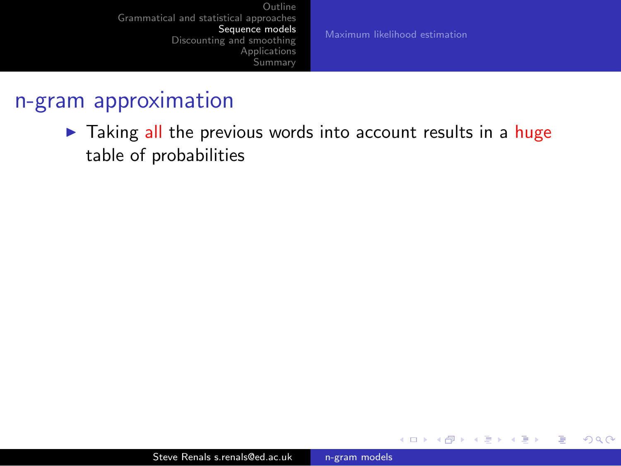[Maximum likelihood estimation](#page-40-0)

4 0 8

→ 冊→

э

 $\sim$ 

э

Пb.

 $2990$ 

<span id="page-34-0"></span>∍

#### n-gram approximation

I Taking all the previous words into account results in a huge table of probabilities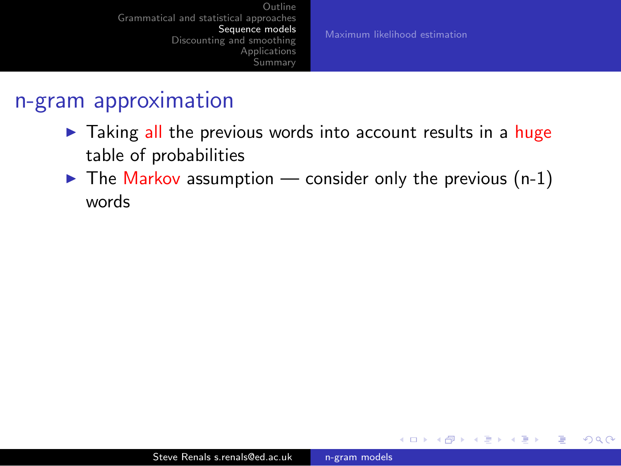[Maximum likelihood estimation](#page-40-0)

a mills

 $\Omega$ 

#### n-gram approximation

- $\triangleright$  Taking all the previous words into account results in a huge table of probabilities
- $\triangleright$  The Markov assumption consider only the previous (n-1) words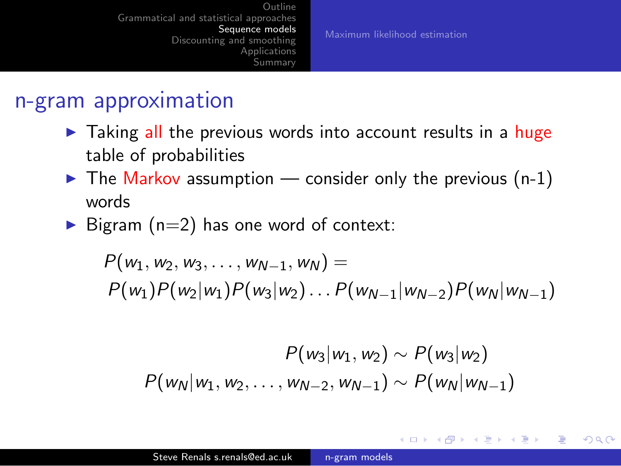[Maximum likelihood estimation](#page-40-0)

<span id="page-36-0"></span> $200$ 

### n-gram approximation

- $\triangleright$  Taking all the previous words into account results in a huge table of probabilities
- $\triangleright$  The Markov assumption consider only the previous (n-1) words
- $\triangleright$  Bigram (n=2) has one word of context:

$$
P(w_1, w_2, w_3, \ldots, w_{N-1}, w_N) =
$$
  
 
$$
P(w_1)P(w_2|w_1)P(w_3|w_2) \ldots P(w_{N-1}|w_{N-2})P(w_N|w_{N-1})
$$

$$
P(w_3|w_1, w_2) \sim P(w_3|w_2)
$$
  

$$
P(w_N|w_1, w_2, ..., w_{N-2}, w_{N-1}) \sim P(w_N|w_{N-1})
$$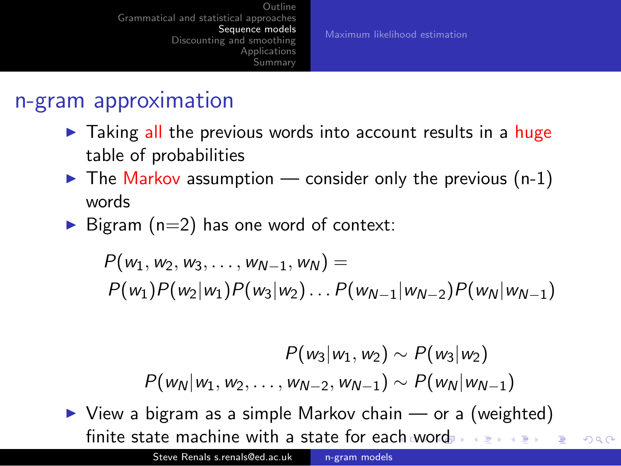#### n-gram approximation

- $\triangleright$  Taking all the previous words into account results in a huge table of probabilities
- $\triangleright$  The Markov assumption consider only the previous (n-1) words
- $\triangleright$  Bigram (n=2) has one word of context:

 $P(w_1, w_2, w_3, \ldots, w_{N-1}, w_N) =$  $P(w_1)P(w_2|w_1)P(w_3|w_2)... P(w_{N-1}|w_{N-2})P(w_N|w_{N-1})$ 

<span id="page-37-0"></span>
$$
P(w_3|w_1, w_2) \sim P(w_3|w_2)
$$
  

$$
P(w_N|w_1, w_2, \ldots, w_{N-2}, w_{N-1}) \sim P(w_N|w_{N-1})
$$

 $\triangleright$  View a bigram as a simple Markov chain — or a (weighted) finite state ma[ch](#page-36-0)ine with a state for each [wo](#page-38-0)[r](#page-33-0)[d](#page-34-0)  $2990$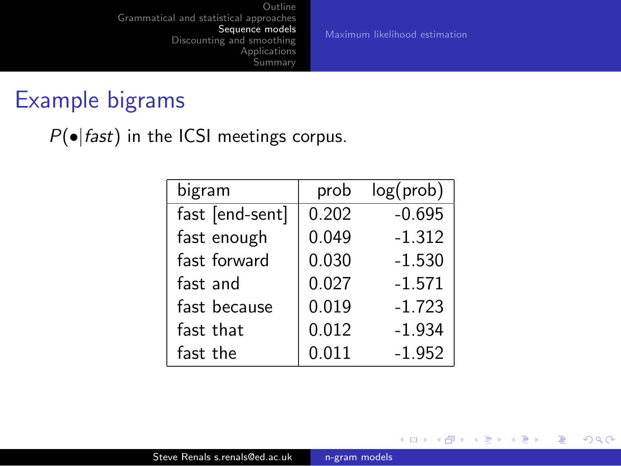[Maximum likelihood estimation](#page-40-0)

**K ロ ▶ K 伊 ▶ K** 

э

 $\rightarrow$  $\rightarrow$ 

重  $\rightarrow$ э <span id="page-38-0"></span> $299$ 

### Example bigrams

 $P(\bullet|$  fast) in the ICSI meetings corpus.

| bigram          | prob  | log(prob) |
|-----------------|-------|-----------|
| fast [end-sent] | 0.202 | $-0.695$  |
| fast enough     | 0.049 | $-1.312$  |
| fast forward    | 0.030 | $-1.530$  |
| fast and        | 0.027 | $-1.571$  |
| fast because    | 0.019 | $-1.723$  |
| fast that       | 0.012 | $-1.934$  |
| fast the        | 0.011 | $-1.952$  |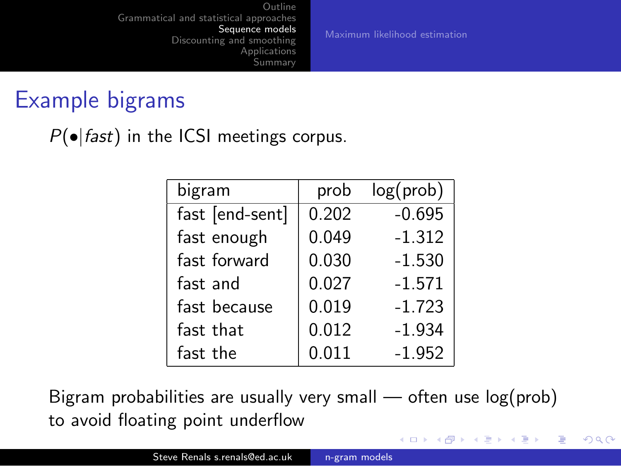[Maximum likelihood estimation](#page-40-0)

**∢ロ ▶ ∢伺 ▶ ∢∃ ▶** 

 $\Omega$ 

### Example bigrams

 $P(\bullet|fast)$  in the ICSI meetings corpus.

| bigram          | prob  | log(prob) |
|-----------------|-------|-----------|
| fast [end-sent] | 0.202 | $-0.695$  |
| fast enough     | 0.049 | $-1.312$  |
| fast forward    | 0.030 | $-1.530$  |
| fast and        | 0.027 | $-1.571$  |
| fast because    | 0.019 | $-1.723$  |
| fast that       | 0.012 | $-1.934$  |
| fast the        | 0.011 | $-1.952$  |

Bigram probabilities are usually very small  $-$  often use  $log(prob)$ to avoid floating point underflow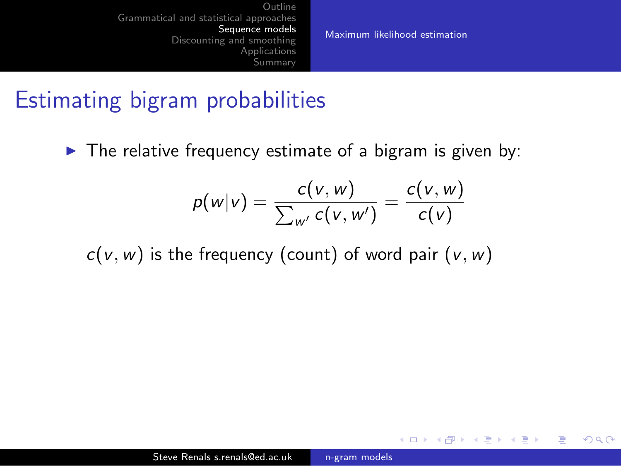[Maximum likelihood estimation](#page-41-0)

a mills

-4596

<span id="page-40-0"></span> $\Omega$ 

### Estimating bigram probabilities

 $\triangleright$  The relative frequency estimate of a bigram is given by:

$$
p(w|v) = \frac{c(v, w)}{\sum_{w'} c(v, w')} = \frac{c(v, w)}{c(v)}
$$

 $c(v, w)$  is the frequency (count) of word pair  $(v, w)$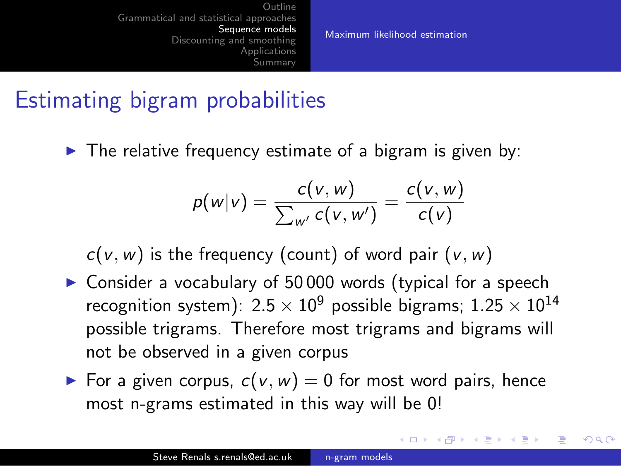[Maximum likelihood estimation](#page-40-0)

<span id="page-41-0"></span>つくい

### Estimating bigram probabilities

 $\triangleright$  The relative frequency estimate of a bigram is given by:

$$
p(w|v) = \frac{c(v, w)}{\sum_{w'} c(v, w')} = \frac{c(v, w)}{c(v)}
$$

 $c(v, w)$  is the frequency (count) of word pair  $(v, w)$ 

- $\triangleright$  Consider a vocabulary of 50 000 words (typical for a speech recognition system):  $2.5 \times 10^9$  possible bigrams;  $1.25 \times 10^{14}$ possible trigrams. Therefore most trigrams and bigrams will not be observed in a given corpus
- For a given corpus,  $c(v, w) = 0$  for most word pairs, hence most n-grams estimated in this way will be 0!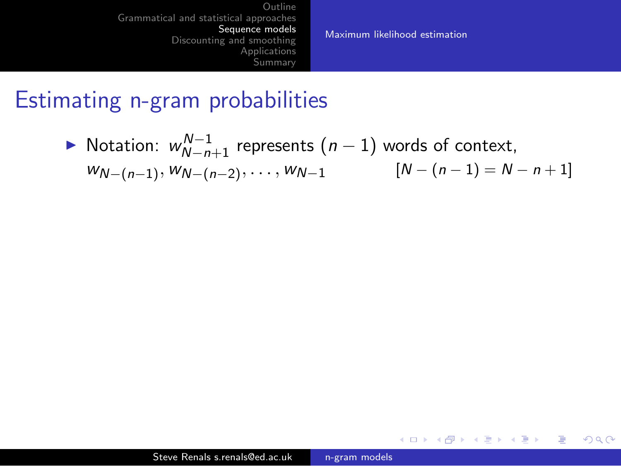[Maximum likelihood estimation](#page-40-0)

メロメ メ母メ メラメ メラメー

重

 $200$ 

#### Estimating n-gram probabilities

▶ Notation:  $w_{N-n+1}^{N-1}$  represents  $(n-1)$  words of context,  $W_{N-(n-1)}, W_{N-(n-2)}, \ldots, W_{N-1}$   $[N-(n-1)=N-n+1]$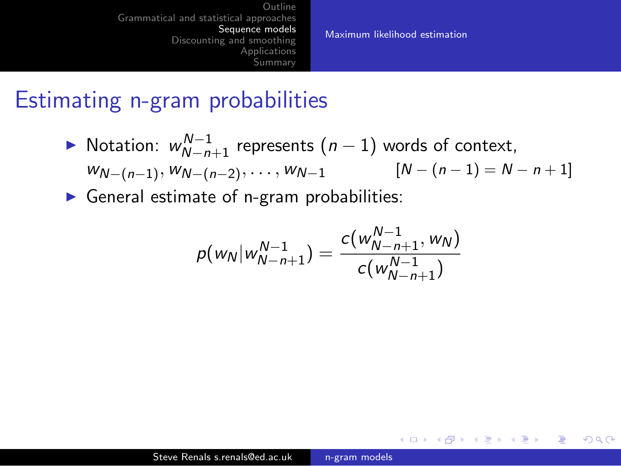[Maximum likelihood estimation](#page-40-0)

イロト イ母 トイヨ トイヨ トー

э

 $\Omega$ 

#### Estimating n-gram probabilities

▶ Notation:  $w_{N-n+1}^{N-1}$  represents  $(n-1)$  words of context,  $W_{N-(n-1)}, W_{N-(n-2)}, \ldots, W_{N-1}$   $[N-(n-1)=N-n+1]$ 

 $\triangleright$  General estimate of n-gram probabilities:

$$
p(w_N|w_{N-n+1}^{N-1}) = \frac{c(w_{N-n+1}^{N-1}, w_N)}{c(w_{N-n+1}^{N-1})}
$$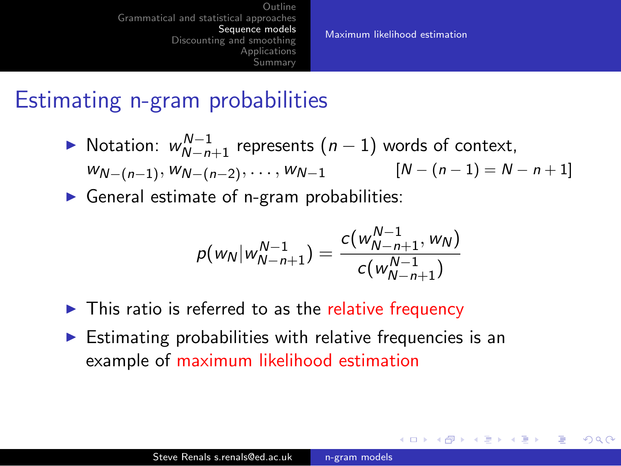[Maximum likelihood estimation](#page-40-0)

イロト イ母 トイヨ トイヨ トー

 $200$ 

#### Estimating n-gram probabilities

- ▶ Notation:  $w_{N-n+1}^{N-1}$  represents  $(n-1)$  words of context,  $W_{N-(n-1)}, W_{N-(n-2)}, \ldots, W_{N-1}$   $[N-(n-1)=N-n+1]$
- $\triangleright$  General estimate of n-gram probabilities:

$$
p(w_N|w_{N-n+1}^{N-1}) = \frac{c(w_{N-n+1}^{N-1}, w_N)}{c(w_{N-n+1}^{N-1})}
$$

- $\triangleright$  This ratio is referred to as the relative frequency
- $\triangleright$  Estimating probabilities with relative frequencies is an example of maximum likelihood estimation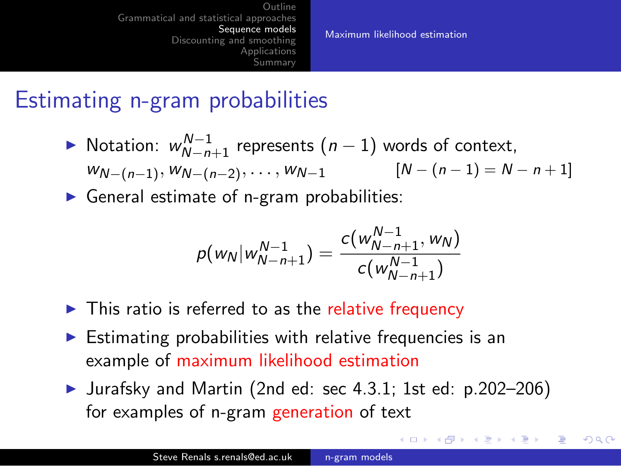[Maximum likelihood estimation](#page-40-0)

∢ ロ ⊁ ( 行) → ( ヨ ) → ( ヨ ) →

<span id="page-45-0"></span> $200$ 

### Estimating n-gram probabilities

- ▶ Notation:  $w_{N-n+1}^{N-1}$  represents  $(n-1)$  words of context,  $W_{N-(n-1)}, W_{N-(n-2)}, \ldots, W_{N-1}$   $[N-(n-1)=N-n+1]$
- $\triangleright$  General estimate of n-gram probabilities:

$$
p(w_N|w_{N-n+1}^{N-1}) = \frac{c(w_{N-n+1}^{N-1}, w_N)}{c(w_{N-n+1}^{N-1})}
$$

- $\triangleright$  This ratio is referred to as the relative frequency
- $\triangleright$  Estimating probabilities with relative frequencies is an example of maximum likelihood estimation
- In Jurafsky and Martin (2nd ed: sec 4.3.1; 1st ed:  $p.202-206$ ) for examples of n-gram generation of text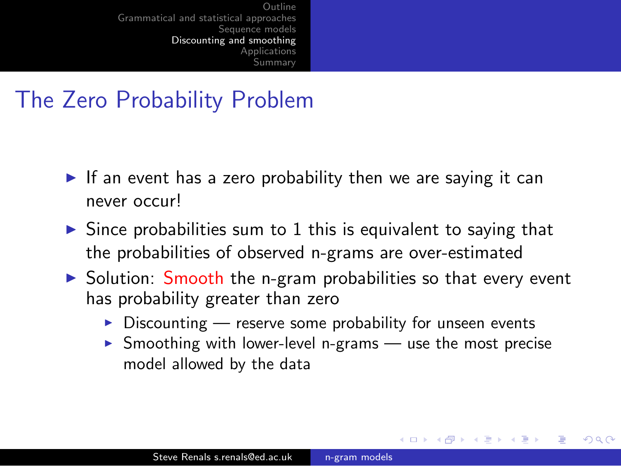### The Zero Probability Problem

- If an event has a zero probability then we are saying it can never occur!
- $\triangleright$  Since probabilities sum to 1 this is equivalent to saying that the probabilities of observed n-grams are over-estimated
- <span id="page-46-0"></span> $\triangleright$  Solution: Smooth the n-gram probabilities so that every event has probability greater than zero
	- $\triangleright$  Discounting reserve some probability for unseen events
	- $\triangleright$  Smoothing with lower-level n-grams use the most precise model allowed by the data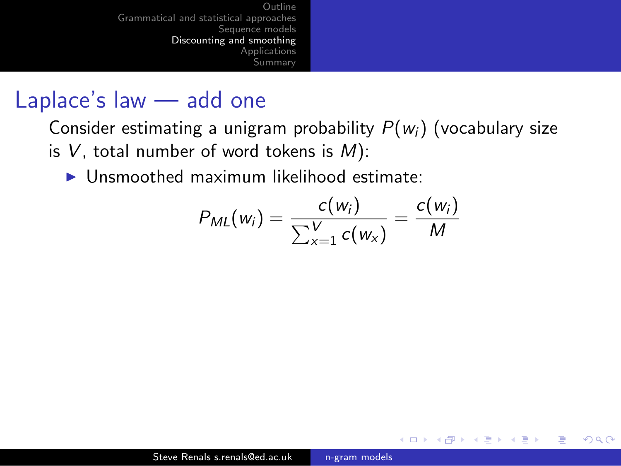### Laplace's law — add one

Consider estimating a unigram probability  $P(w_i)$  (vocabulary size is  $V$ , total number of word tokens is  $M$ ):

 $\blacktriangleright$  Unsmoothed maximum likelihood estimate:

$$
P_{ML}(w_i) = \frac{c(w_i)}{\sum_{x=1}^{V} c(w_x)} = \frac{c(w_i)}{M}
$$

a mills

 $\leftarrow$   $\leftarrow$   $\leftarrow$   $\leftarrow$   $\leftarrow$ 

э

<span id="page-47-0"></span> $\Omega$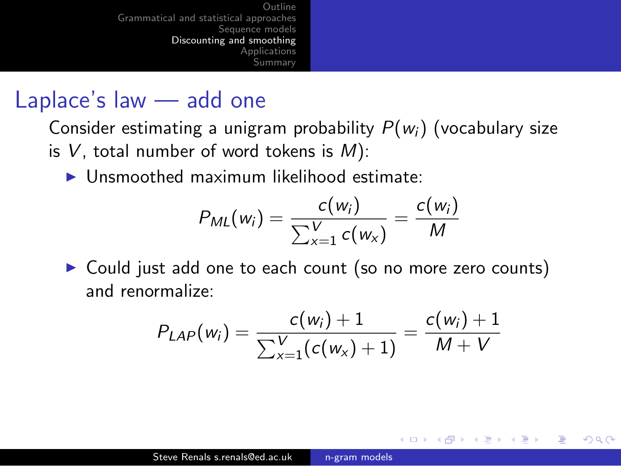### Laplace's law — add one

Consider estimating a unigram probability  $P(w_i)$  (vocabulary size is  $V$ , total number of word tokens is  $M$ ):

 $\blacktriangleright$  Unsmoothed maximum likelihood estimate:

$$
P_{ML}(w_i) = \frac{c(w_i)}{\sum_{x=1}^{V} c(w_x)} = \frac{c(w_i)}{M}
$$

▶ Could just add one to each count (so no more zero counts) and renormalize:

<span id="page-48-0"></span>
$$
P_{LAP}(w_i) = \frac{c(w_i) + 1}{\sum_{x=1}^{V} (c(w_x) + 1)} = \frac{c(w_i) + 1}{M + V}
$$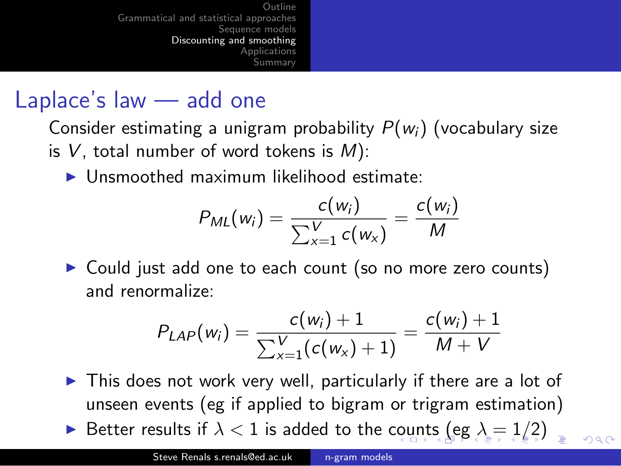### Laplace's law — add one

Consider estimating a unigram probability  $P(w_i)$  (vocabulary size is  $V$ , total number of word tokens is  $M$ ):

 $\blacktriangleright$  Unsmoothed maximum likelihood estimate:

$$
P_{ML}(w_i) = \frac{c(w_i)}{\sum_{x=1}^{V} c(w_x)} = \frac{c(w_i)}{M}
$$

▶ Could just add one to each count (so no more zero counts) and renormalize:

<span id="page-49-0"></span>
$$
P_{LAP}(w_i) = \frac{c(w_i) + 1}{\sum_{x=1}^{V} (c(w_x) + 1)} = \frac{c(w_i) + 1}{M + V}
$$

- $\triangleright$  This does not work very well, particularly if there are a lot of unseen events (eg if applied to bigram or trigram estimation)
- ► Better re[s](#page-46-0)ultsif  $\lambda < 1$  $\lambda < 1$  is added to the [cou](#page-48-0)[nt](#page-50-0)s [\(](#page-47-0)[e](#page-49-0)[g](#page-50-0)  $\lambda = 1/2$  $\lambda = 1/2$  $\lambda = 1/2$  $\lambda = 1/2$  $\lambda = 1/2$ [\)](#page-0-0)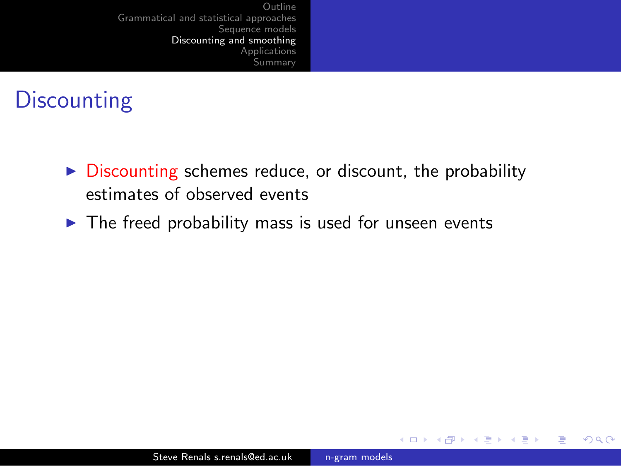# **Discounting**

- $\triangleright$  Discounting schemes reduce, or discount, the probability estimates of observed events
- $\blacktriangleright$  The freed probability mass is used for unseen events

4 0 8 4 伊

**SIL** 

э

Пb.

<span id="page-50-0"></span>э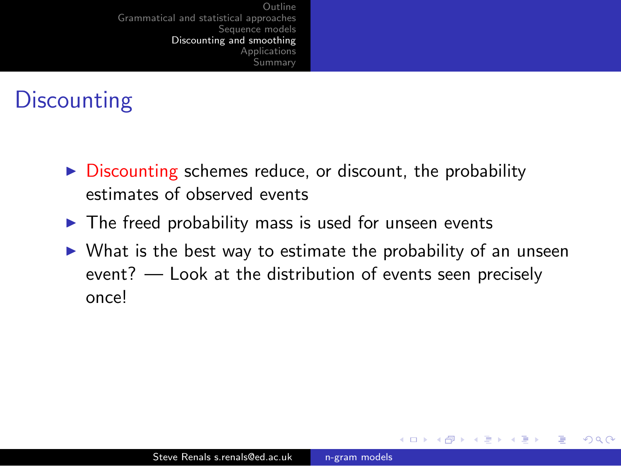# **Discounting**

- $\triangleright$  Discounting schemes reduce, or discount, the probability estimates of observed events
- $\blacktriangleright$  The freed probability mass is used for unseen events
- $\triangleright$  What is the best way to estimate the probability of an unseen event? — Look at the distribution of events seen precisely once!

**4 点 下** 

 $\Omega$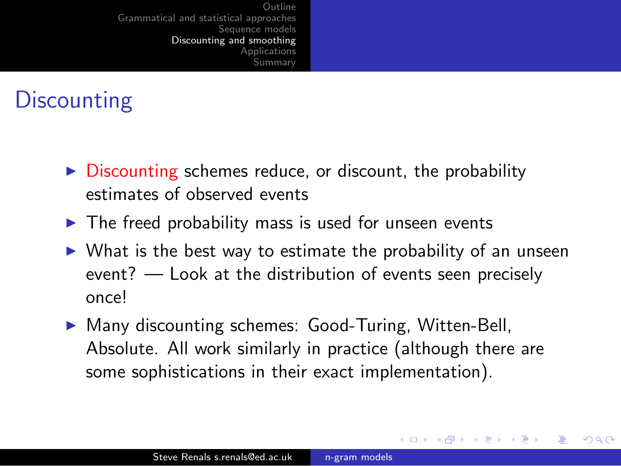# **Discounting**

- $\triangleright$  Discounting schemes reduce, or discount, the probability estimates of observed events
- $\blacktriangleright$  The freed probability mass is used for unseen events
- $\triangleright$  What is the best way to estimate the probability of an unseen event? — Look at the distribution of events seen precisely once!
- $\triangleright$  Many discounting schemes: Good-Turing, Witten-Bell, Absolute. All work similarly in practice (although there are some sophistications in their exact implementation).

イロメ イ母メ イヨメー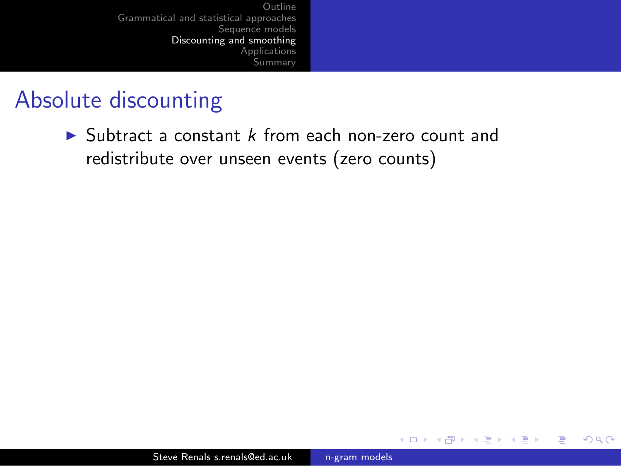### Absolute discounting

 $\triangleright$  Subtract a constant k from each non-zero count and redistribute over unseen events (zero counts)

4 0 8 ∢母 ∍

 $\sim$ 

 $\sim$ 

э **B** э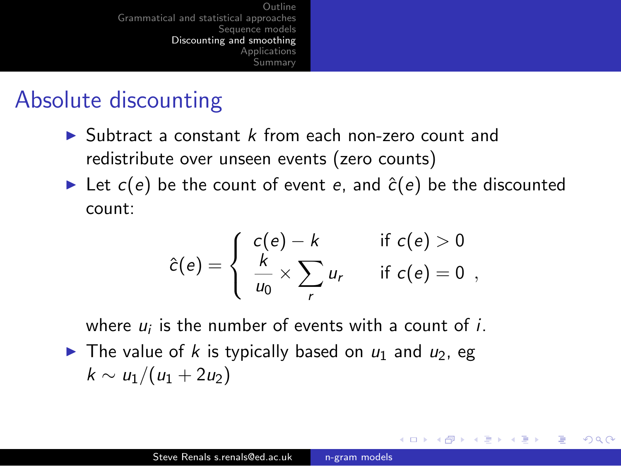## Absolute discounting

- $\triangleright$  Subtract a constant k from each non-zero count and redistribute over unseen events (zero counts)
- In Let  $c(e)$  be the count of event e, and  $\hat{c}(e)$  be the discounted count:

$$
\hat{c}(e) = \begin{cases}\n c(e) - k & \text{if } c(e) > 0 \\
\frac{k}{u_0} \times \sum_r u_r & \text{if } c(e) = 0\n\end{cases}
$$

<span id="page-54-0"></span> $200$ 

where  $u_i$  is the number of events with a count of  $i$ .

 $\blacktriangleright$  The value of k is typically based on  $u_1$  and  $u_2$ , eg  $k \sim u_1/(u_1 + 2u_2)$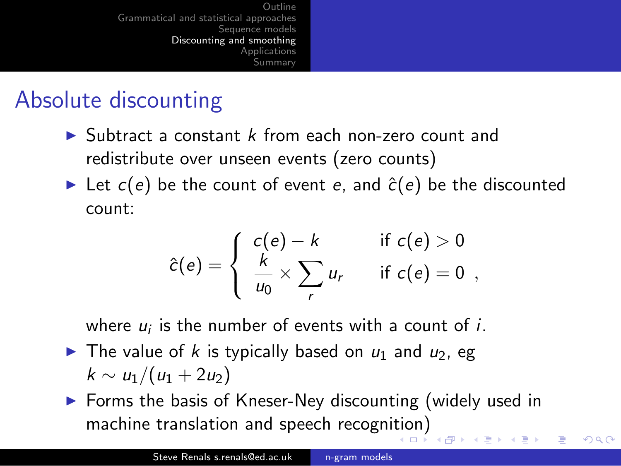## Absolute discounting

- $\triangleright$  Subtract a constant k from each non-zero count and redistribute over unseen events (zero counts)
- In Let  $c(e)$  be the count of event e, and  $\hat{c}(e)$  be the discounted count:

$$
\hat{c}(e) = \begin{cases}\n c(e) - k & \text{if } c(e) > 0 \\
\frac{k}{u_0} \times \sum_r u_r & \text{if } c(e) = 0\n\end{cases}
$$

where  $u_i$  is the number of events with a count of  $i$ .

- $\blacktriangleright$  The value of k is typically based on  $u_1$  and  $u_2$ , eg  $k \sim u_1/(u_1 + 2u_2)$
- $\triangleright$  Forms the basis of Kneser-Ney discounting (widely used in machine translation and speech recogni[tio](#page-54-0)[n\)](#page-56-0)

<span id="page-55-0"></span>つくい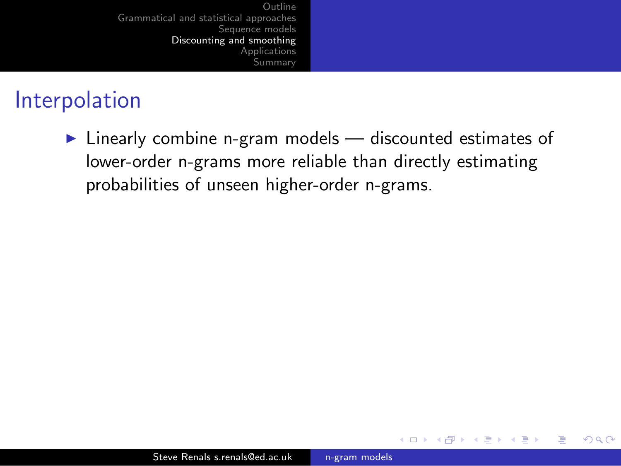## Interpolation

 $\triangleright$  Linearly combine n-gram models — discounted estimates of lower-order n-grams more reliable than directly estimating probabilities of unseen higher-order n-grams.

<span id="page-56-0"></span>4 0 8  $\overline{A}$ **SIL**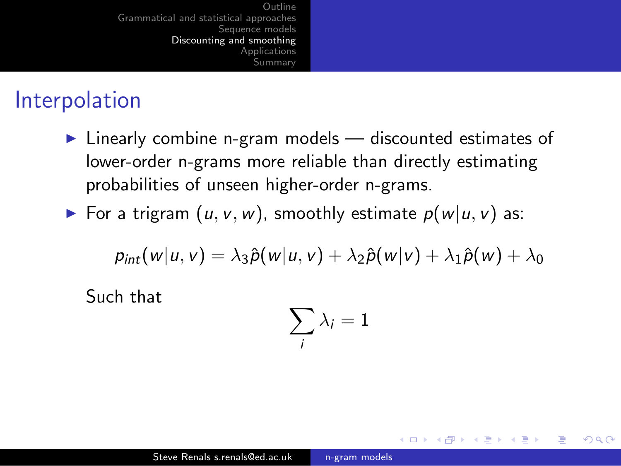## Interpolation

- $\triangleright$  Linearly combine n-gram models discounted estimates of lower-order n-grams more reliable than directly estimating probabilities of unseen higher-order n-grams.
- For a trigram  $(u, v, w)$ , smoothly estimate  $p(w|u, v)$  as:

$$
p_{int}(w|u,v) = \lambda_3 \hat{p}(w|u,v) + \lambda_2 \hat{p}(w|v) + \lambda_1 \hat{p}(w) + \lambda_0
$$

Such that

<span id="page-57-0"></span>
$$
\sum_i \lambda_i = 1
$$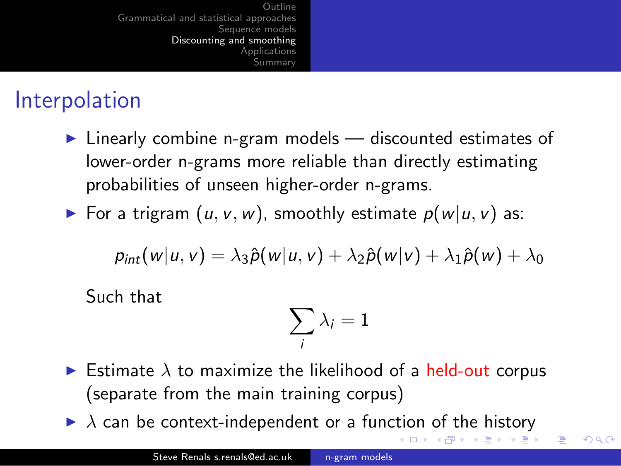# Interpolation

- $\triangleright$  Linearly combine n-gram models discounted estimates of lower-order n-grams more reliable than directly estimating probabilities of unseen higher-order n-grams.
- For a trigram  $(u, v, w)$ , smoothly estimate  $p(w|u, v)$  as:

$$
p_{int}(w|u,v) = \lambda_3 \hat{p}(w|u,v) + \lambda_2 \hat{p}(w|v) + \lambda_1 \hat{p}(w) + \lambda_0
$$

Such that

<span id="page-58-0"></span>
$$
\sum_i \lambda_i = 1
$$

- Estimate  $\lambda$  to maximize the likelihood of a held-out corpus (separate from the main training corpus)
- $\blacktriangleright$  $\blacktriangleright$  $\blacktriangleright$  $\blacktriangleright$  $\blacktriangleright$  $\lambda$  can be context-independent or a func[tio](#page-57-0)n [o](#page-55-0)[f](#page-56-0) [t](#page-58-0)h[e](#page-45-0) [hi](#page-59-0)[s](#page-60-0)[to](#page-45-0)[r](#page-46-0)[y](#page-59-0)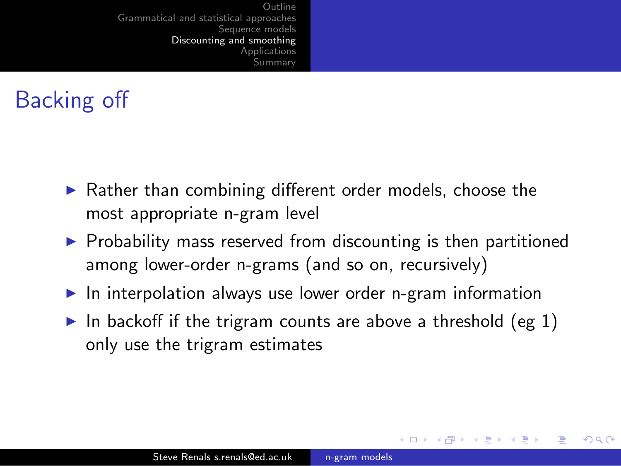# Backing off

- $\blacktriangleright$  Rather than combining different order models, choose the most appropriate n-gram level
- $\triangleright$  Probability mass reserved from discounting is then partitioned among lower-order n-grams (and so on, recursively)
- $\blacktriangleright$  In interpolation always use lower order n-gram information
- <span id="page-59-0"></span>In backoff if the trigram counts are above a threshold (eg 1) only use the trigram estimates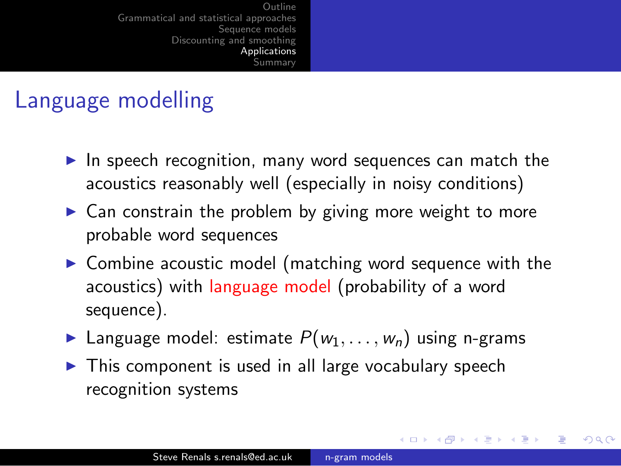## Language modelling

- $\blacktriangleright$  In speech recognition, many word sequences can match the acoustics reasonably well (especially in noisy conditions)
- $\triangleright$  Can constrain the problem by giving more weight to more probable word sequences
- $\triangleright$  Combine acoustic model (matching word sequence with the acoustics) with language model (probability of a word sequence).

- **In** Language model: estimate  $P(w_1, \ldots, w_n)$  using n-grams
- <span id="page-60-0"></span> $\triangleright$  This component is used in all large vocabulary speech recognition systems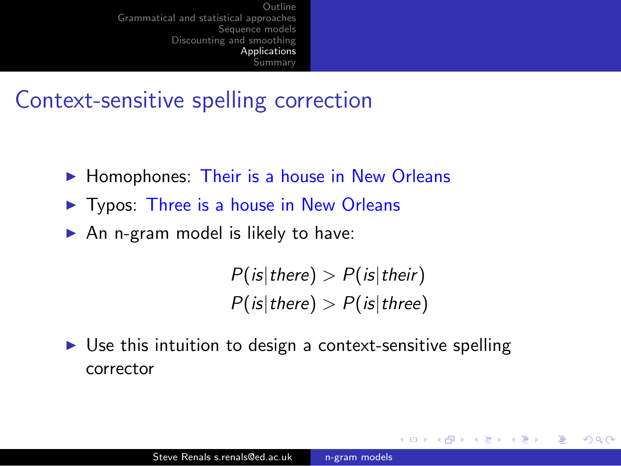## Context-sensitive spelling correction

- $\blacktriangleright$  Homophones: Their is a house in New Orleans
- $\triangleright$  Typos: Three is a house in New Orleans
- $\triangleright$  An n-gram model is likely to have:

 $P($  is  $|$  there  $)$   $>$   $P($  is  $|$  their $)$  $P(is|there) > P(is|three)$ 

 $200$ 

 $\triangleright$  Use this intuition to design a context-sensitive spelling corrector